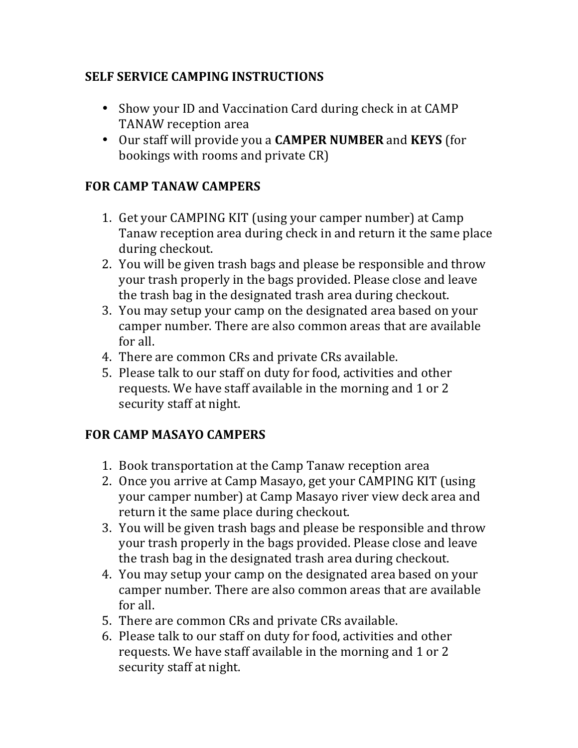### **SELF SERVICE CAMPING INSTRUCTIONS**

- Show your ID and Vaccination Card during check in at CAMP TANAW reception area
- Our staff will provide you a **CAMPER NUMBER** and **KEYS** (for bookings with rooms and private CR)

## **FOR CAMP TANAW CAMPERS**

- 1. Get your CAMPING KIT (using your camper number) at Camp Tanaw reception area during check in and return it the same place during checkout.
- 2. You will be given trash bags and please be responsible and throw your trash properly in the bags provided. Please close and leave the trash bag in the designated trash area during checkout.
- 3. You may setup your camp on the designated area based on your camper number. There are also common areas that are available for all.
- 4. There are common CRs and private CRs available.
- 5. Please talk to our staff on duty for food, activities and other requests. We have staff available in the morning and 1 or 2 security staff at night.

# **FOR CAMP MASAYO CAMPERS**

- 1. Book transportation at the Camp Tanaw reception area
- 2. Once you arrive at Camp Masayo, get your CAMPING KIT (using your camper number) at Camp Masayo river view deck area and return it the same place during checkout.
- 3. You will be given trash bags and please be responsible and throw your trash properly in the bags provided. Please close and leave the trash bag in the designated trash area during checkout.
- 4. You may setup your camp on the designated area based on your camper number. There are also common areas that are available for all.
- 5. There are common CRs and private CRs available.
- 6. Please talk to our staff on duty for food, activities and other requests. We have staff available in the morning and 1 or 2 security staff at night.